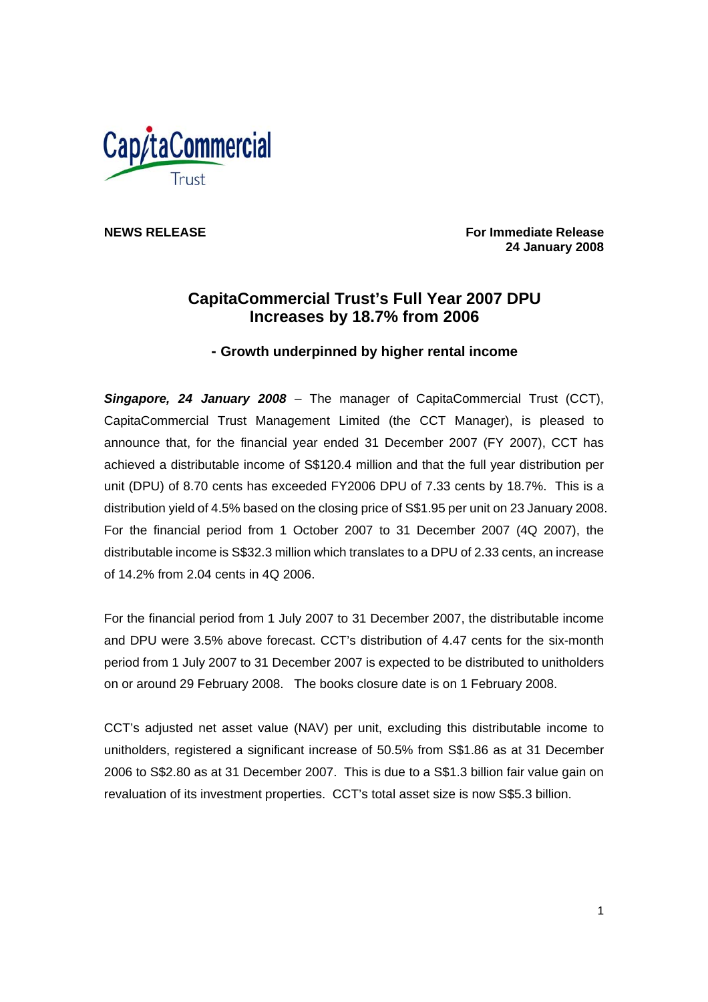

**NEWS RELEASE** For Immediate Release  **24 January 2008** 

# **CapitaCommercial Trust's Full Year 2007 DPU Increases by 18.7% from 2006**

**- Growth underpinned by higher rental income** 

*Singapore, 24 January 2008* – The manager of CapitaCommercial Trust (CCT), CapitaCommercial Trust Management Limited (the CCT Manager), is pleased to announce that, for the financial year ended 31 December 2007 (FY 2007), CCT has achieved a distributable income of S\$120.4 million and that the full year distribution per unit (DPU) of 8.70 cents has exceeded FY2006 DPU of 7.33 cents by 18.7%. This is a distribution yield of 4.5% based on the closing price of S\$1.95 per unit on 23 January 2008. For the financial period from 1 October 2007 to 31 December 2007 (4Q 2007), the distributable income is S\$32.3 million which translates to a DPU of 2.33 cents, an increase of 14.2% from 2.04 cents in 4Q 2006.

For the financial period from 1 July 2007 to 31 December 2007, the distributable income and DPU were 3.5% above forecast. CCT's distribution of 4.47 cents for the six-month period from 1 July 2007 to 31 December 2007 is expected to be distributed to unitholders on or around 29 February 2008. The books closure date is on 1 February 2008.

CCT's adjusted net asset value (NAV) per unit, excluding this distributable income to unitholders, registered a significant increase of 50.5% from S\$1.86 as at 31 December 2006 to S\$2.80 as at 31 December 2007. This is due to a S\$1.3 billion fair value gain on revaluation of its investment properties. CCT's total asset size is now S\$5.3 billion.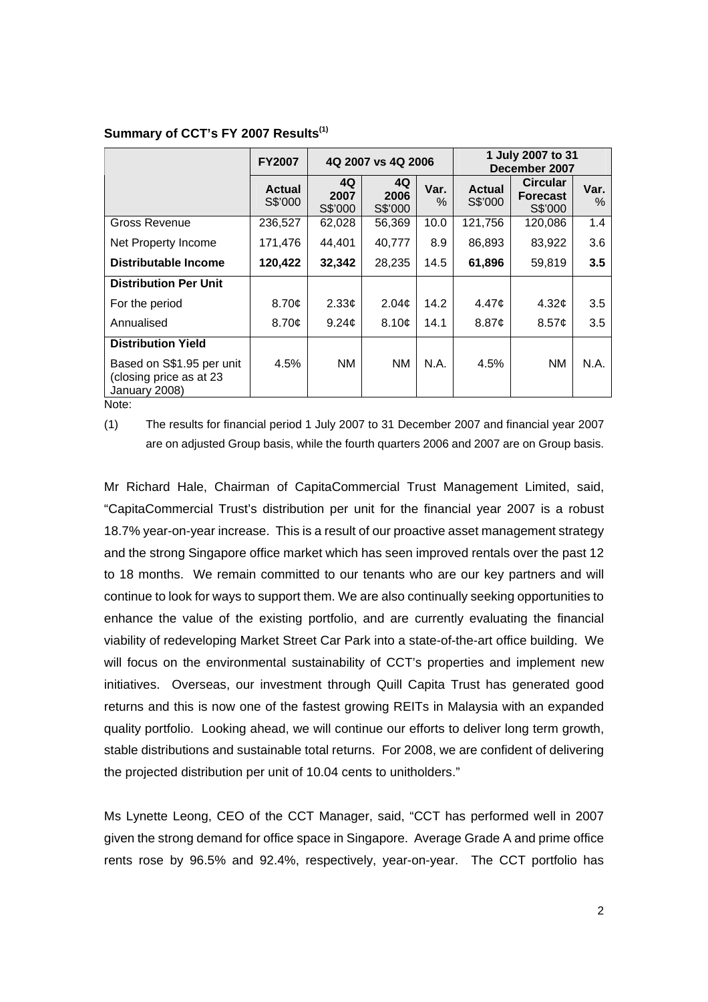# **Summary of CCT's FY 2007 Results(1)**

|                                                                       | <b>FY2007</b>            | 4Q 2007 vs 4Q 2006    |                       |              | 1 July 2007 to 31<br>December 2007 |                                               |               |
|-----------------------------------------------------------------------|--------------------------|-----------------------|-----------------------|--------------|------------------------------------|-----------------------------------------------|---------------|
|                                                                       | <b>Actual</b><br>S\$'000 | 4Q<br>2007<br>S\$'000 | 4Q<br>2006<br>S\$'000 | Var.<br>$\%$ | Actual<br>S\$'000                  | <b>Circular</b><br><b>Forecast</b><br>S\$'000 | Var.<br>%     |
| <b>Gross Revenue</b>                                                  | 236,527                  | 62,028                | 56,369                | 10.0         | 121,756                            | 120,086                                       | 1.4           |
| Net Property Income                                                   | 171,476                  | 44,401                | 40,777                | 8.9          | 86,893                             | 83,922                                        | 3.6           |
| Distributable Income                                                  | 120,422                  | 32,342                | 28,235                | 14.5         | 61,896                             | 59,819                                        | $3.5^{\circ}$ |
| <b>Distribution Per Unit</b>                                          |                          |                       |                       |              |                                    |                                               |               |
| For the period                                                        | 8.70c                    | 2.33c                 | 2.04 <sub>c</sub>     | 14.2         | 4.47 <sub>¢</sub>                  | 4.32 $\mathfrak{c}$                           | 3.5           |
| Annualised                                                            | 8.70c                    | 9.24 <sub>c</sub>     | 8.10 <sub>c</sub>     | 14.1         | 8.87¢                              | 8.57c                                         | 3.5           |
| <b>Distribution Yield</b>                                             |                          |                       |                       |              |                                    |                                               |               |
| Based on S\$1.95 per unit<br>(closing price as at 23<br>January 2008) | 4.5%                     | <b>NM</b>             | <b>NM</b>             | N.A.         | 4.5%                               | NM.                                           | <b>N.A.</b>   |

Note:

(1) The results for financial period 1 July 2007 to 31 December 2007 and financial year 2007 are on adjusted Group basis, while the fourth quarters 2006 and 2007 are on Group basis.

Mr Richard Hale, Chairman of CapitaCommercial Trust Management Limited, said, "CapitaCommercial Trust's distribution per unit for the financial year 2007 is a robust 18.7% year-on-year increase. This is a result of our proactive asset management strategy and the strong Singapore office market which has seen improved rentals over the past 12 to 18 months. We remain committed to our tenants who are our key partners and will continue to look for ways to support them. We are also continually seeking opportunities to enhance the value of the existing portfolio, and are currently evaluating the financial viability of redeveloping Market Street Car Park into a state-of-the-art office building. We will focus on the environmental sustainability of CCT's properties and implement new initiatives. Overseas, our investment through Quill Capita Trust has generated good returns and this is now one of the fastest growing REITs in Malaysia with an expanded quality portfolio. Looking ahead, we will continue our efforts to deliver long term growth, stable distributions and sustainable total returns. For 2008, we are confident of delivering the projected distribution per unit of 10.04 cents to unitholders."

Ms Lynette Leong, CEO of the CCT Manager, said, "CCT has performed well in 2007 given the strong demand for office space in Singapore. Average Grade A and prime office rents rose by 96.5% and 92.4%, respectively, year-on-year. The CCT portfolio has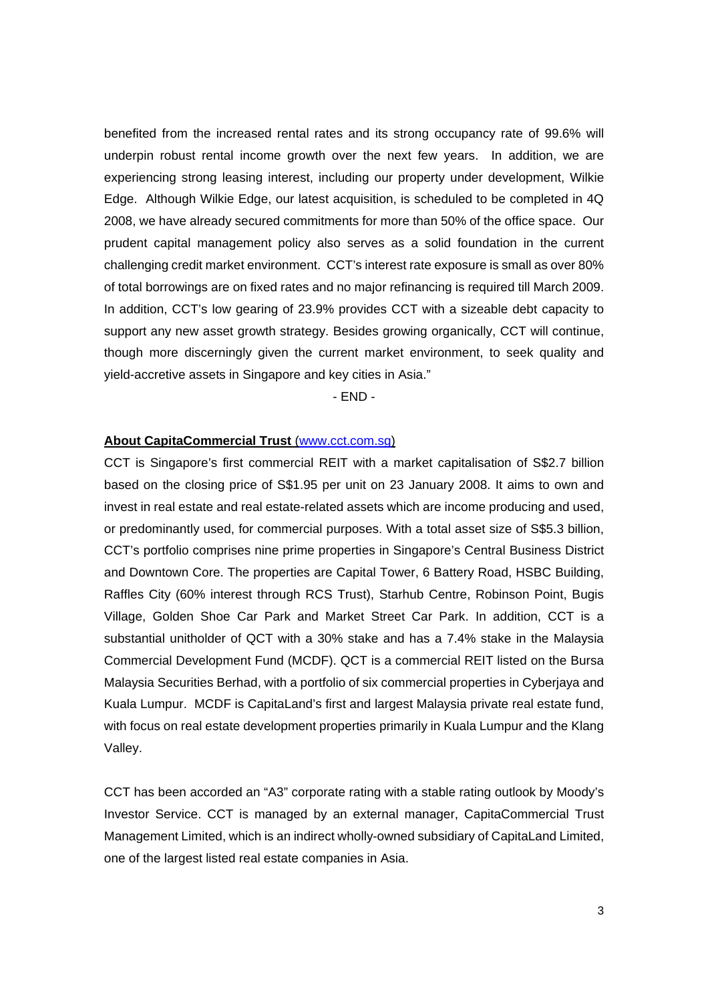benefited from the increased rental rates and its strong occupancy rate of 99.6% will underpin robust rental income growth over the next few years. In addition, we are experiencing strong leasing interest, including our property under development, Wilkie Edge. Although Wilkie Edge, our latest acquisition, is scheduled to be completed in 4Q 2008, we have already secured commitments for more than 50% of the office space. Our prudent capital management policy also serves as a solid foundation in the current challenging credit market environment. CCT's interest rate exposure is small as over 80% of total borrowings are on fixed rates and no major refinancing is required till March 2009. In addition, CCT's low gearing of 23.9% provides CCT with a sizeable debt capacity to support any new asset growth strategy. Besides growing organically, CCT will continue, though more discerningly given the current market environment, to seek quality and yield-accretive assets in Singapore and key cities in Asia."

- END -

#### **About CapitaCommercial Trust** (www.cct.com.sg)

CCT is Singapore's first commercial REIT with a market capitalisation of S\$2.7 billion based on the closing price of S\$1.95 per unit on 23 January 2008. It aims to own and invest in real estate and real estate-related assets which are income producing and used, or predominantly used, for commercial purposes. With a total asset size of S\$5.3 billion, CCT's portfolio comprises nine prime properties in Singapore's Central Business District and Downtown Core. The properties are Capital Tower, 6 Battery Road, HSBC Building, Raffles City (60% interest through RCS Trust), Starhub Centre, Robinson Point, Bugis Village, Golden Shoe Car Park and Market Street Car Park. In addition, CCT is a substantial unitholder of QCT with a 30% stake and has a 7.4% stake in the Malaysia Commercial Development Fund (MCDF). QCT is a commercial REIT listed on the Bursa Malaysia Securities Berhad, with a portfolio of six commercial properties in Cyberjaya and Kuala Lumpur. MCDF is CapitaLand's first and largest Malaysia private real estate fund, with focus on real estate development properties primarily in Kuala Lumpur and the Klang Valley.

CCT has been accorded an "A3" corporate rating with a stable rating outlook by Moody's Investor Service. CCT is managed by an external manager, CapitaCommercial Trust Management Limited, which is an indirect wholly-owned subsidiary of CapitaLand Limited, one of the largest listed real estate companies in Asia.